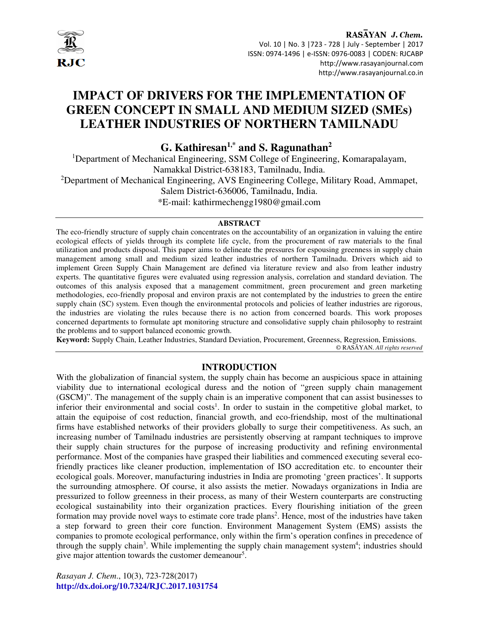

RASAYAN J. Chem. Vol. 10 | No. 3 |723 - 728 | July - September | 2017 ISSN: 0974-1496 | e-ISSN: 0976-0083 | CODEN: RJCABP http://www.rasayanjournal.com http://www.rasayanjournal.co.in

# **IMPACT OF DRIVERS FOR THE IMPLEMENTATION OF GREEN CONCEPT IN SMALL AND MEDIUM SIZED (SMEs) LEATHER INDUSTRIES OF NORTHERN TAMILNADU**

**G. Kathiresan1,\* and S. Ragunathan<sup>2</sup>** 

<sup>1</sup>Department of Mechanical Engineering, SSM College of Engineering, Komarapalayam, Namakkal District-638183, Tamilnadu, India. <sup>2</sup>Department of Mechanical Engineering, AVS Engineering College, Military Road, Ammapet, Salem District-636006, Tamilnadu, India. \*E-mail: kathirmechengg1980@gmail.com

#### **ABSTRACT**

The eco-friendly structure of supply chain concentrates on the accountability of an organization in valuing the entire ecological effects of yields through its complete life cycle, from the procurement of raw materials to the final utilization and products disposal. This paper aims to delineate the pressures for espousing greenness in supply chain management among small and medium sized leather industries of northern Tamilnadu. Drivers which aid to implement Green Supply Chain Management are defined via literature review and also from leather industry experts. The quantitative figures were evaluated using regression analysis, correlation and standard deviation. The outcomes of this analysis exposed that a management commitment, green procurement and green marketing methodologies, eco-friendly proposal and environ praxis are not contemplated by the industries to green the entire supply chain (SC) system. Even though the environmental protocols and policies of leather industries are rigorous, the industries are violating the rules because there is no action from concerned boards. This work proposes concerned departments to formulate apt monitoring structure and consolidative supply chain philosophy to restraint the problems and to support balanced economic growth.

**Keyword:** Supply Chain, Leather Industries, Standard Deviation, Procurement, Greenness, Regression, Emissions. © RASĀYAN. *All rights reserved*

## **INTRODUCTION**

With the globalization of financial system, the supply chain has become an auspicious space in attaining viability due to international ecological duress and the notion of "green supply chain management (GSCM)". The management of the supply chain is an imperative component that can assist businesses to inferior their environmental and social costs<sup>1</sup>. In order to sustain in the competitive global market, to attain the equipoise of cost reduction, financial growth, and eco-friendship, most of the multinational firms have established networks of their providers globally to surge their competitiveness. As such, an increasing number of Tamilnadu industries are persistently observing at rampant techniques to improve their supply chain structures for the purpose of increasing productivity and refining environmental performance. Most of the companies have grasped their liabilities and commenced executing several ecofriendly practices like cleaner production, implementation of ISO accreditation etc. to encounter their ecological goals. Moreover, manufacturing industries in India are promoting 'green practices'. It supports the surrounding atmosphere. Of course, it also assists the metier. Nowadays organizations in India are pressurized to follow greenness in their process, as many of their Western counterparts are constructing ecological sustainability into their organization practices. Every flourishing initiation of the green formation may provide novel ways to estimate core trade plans<sup>2</sup>. Hence, most of the industries have taken a step forward to green their core function. Environment Management System (EMS) assists the companies to promote ecological performance, only within the firm's operation confines in precedence of through the supply chain<sup>3</sup>. While implementing the supply chain management system<sup>4</sup>; industries should give major attention towards the customer demeanour<sup>5</sup>.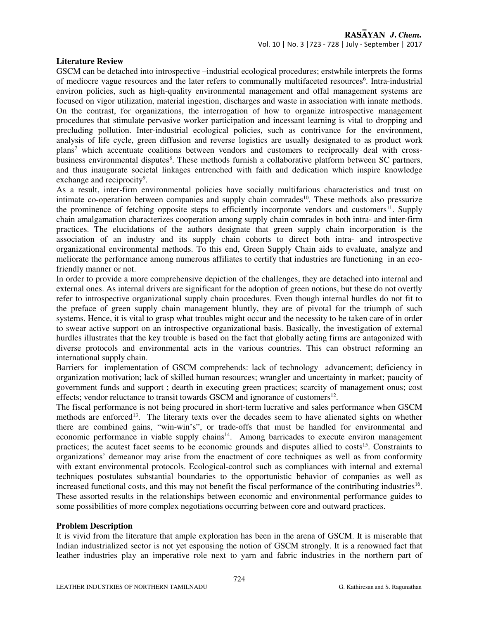#### **Literature Review**

GSCM can be detached into introspective –industrial ecological procedures; erstwhile interprets the forms of mediocre vague resources and the later refers to communally multifaceted resources<sup>6</sup>. Intra-industrial environ policies, such as high-quality environmental management and offal management systems are focused on vigor utilization, material ingestion, discharges and waste in association with innate methods. On the contrast, for organizations, the interrogation of how to organize introspective management procedures that stimulate pervasive worker participation and incessant learning is vital to dropping and precluding pollution. Inter-industrial ecological policies, such as contrivance for the environment, analysis of life cycle, green diffusion and reverse logistics are usually designated to as product work plans<sup>7</sup> which accentuate coalitions between vendors and customers to reciprocally deal with crossbusiness environmental disputes<sup>8</sup>. These methods furnish a collaborative platform between SC partners, and thus inaugurate societal linkages entrenched with faith and dedication which inspire knowledge exchange and reciprocity<sup>9</sup>.

As a result, inter-firm environmental policies have socially multifarious characteristics and trust on intimate co-operation between companies and supply chain comrades<sup>10</sup>. These methods also pressurize the prominence of fetching opposite steps to efficiently incorporate vendors and customers<sup>11</sup>. Supply chain amalgamation characterizes cooperation among supply chain comrades in both intra- and inter-firm practices. The elucidations of the authors designate that green supply chain incorporation is the association of an industry and its supply chain cohorts to direct both intra- and introspective organizational environmental methods. To this end, Green Supply Chain aids to evaluate, analyze and meliorate the performance among numerous affiliates to certify that industries are functioning in an ecofriendly manner or not.

In order to provide a more comprehensive depiction of the challenges, they are detached into internal and external ones. As internal drivers are significant for the adoption of green notions, but these do not overtly refer to introspective organizational supply chain procedures. Even though internal hurdles do not fit to the preface of green supply chain management bluntly, they are of pivotal for the triumph of such systems. Hence, it is vital to grasp what troubles might occur and the necessity to be taken care of in order to swear active support on an introspective organizational basis. Basically, the investigation of external hurdles illustrates that the key trouble is based on the fact that globally acting firms are antagonized with diverse protocols and environmental acts in the various countries. This can obstruct reforming an international supply chain.

Barriers for implementation of GSCM comprehends: lack of technology advancement; deficiency in organization motivation; lack of skilled human resources; wrangler and uncertainty in market; paucity of government funds and support ; dearth in executing green practices; scarcity of management onus; cost effects; vendor reluctance to transit towards GSCM and ignorance of customers $^{12}$ .

The fiscal performance is not being procured in short-term lucrative and sales performance when GSCM methods are enforced<sup>13</sup>. The literary texts over the decades seem to have alienated sights on whether there are combined gains, "win-win's", or trade-offs that must be handled for environmental and economic performance in viable supply chains<sup>14</sup>. Among barricades to execute environ management practices; the acutest facet seems to be economic grounds and disputes allied to costs<sup>15</sup>. Constraints to organizations' demeanor may arise from the enactment of core techniques as well as from conformity with extant environmental protocols. Ecological-control such as compliances with internal and external techniques postulates substantial boundaries to the opportunistic behavior of companies as well as increased functional costs, and this may not benefit the fiscal performance of the contributing industries<sup>16</sup>. These assorted results in the relationships between economic and environmental performance guides to some possibilities of more complex negotiations occurring between core and outward practices.

#### **Problem Description**

It is vivid from the literature that ample exploration has been in the arena of GSCM. It is miserable that Indian industrialized sector is not yet espousing the notion of GSCM strongly. It is a renowned fact that leather industries play an imperative role next to yarn and fabric industries in the northern part of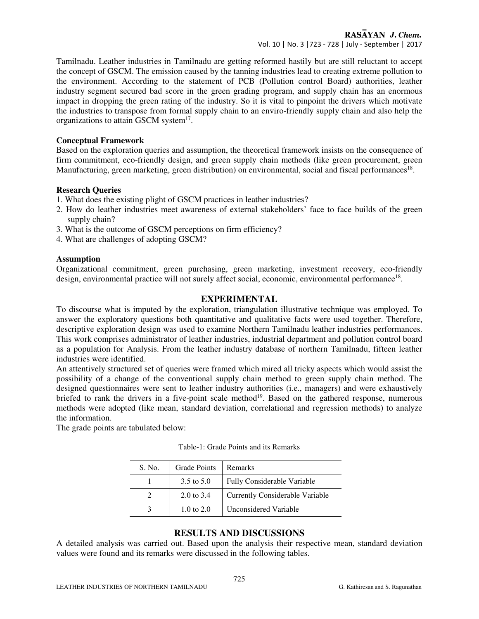RASAYAN J. Chem.

Vol. 10 | No. 3 |723 - 728 | July - September | 2017

Tamilnadu. Leather industries in Tamilnadu are getting reformed hastily but are still reluctant to accept the concept of GSCM. The emission caused by the tanning industries lead to creating extreme pollution to the environment. According to the statement of PCB (Pollution control Board) authorities, leather industry segment secured bad score in the green grading program, and supply chain has an enormous impact in dropping the green rating of the industry. So it is vital to pinpoint the drivers which motivate the industries to transpose from formal supply chain to an enviro-friendly supply chain and also help the organizations to attain GSCM system $17$ .

#### **Conceptual Framework**

Based on the exploration queries and assumption, the theoretical framework insists on the consequence of firm commitment, eco-friendly design, and green supply chain methods (like green procurement, green Manufacturing, green marketing, green distribution) on environmental, social and fiscal performances<sup>18</sup>.

#### **Research Queries**

- 1. What does the existing plight of GSCM practices in leather industries?
- 2. How do leather industries meet awareness of external stakeholders' face to face builds of the green supply chain?
- 3. What is the outcome of GSCM perceptions on firm efficiency?
- 4. What are challenges of adopting GSCM?

## **Assumption**

Organizational commitment, green purchasing, green marketing, investment recovery, eco-friendly design, environmental practice will not surely affect social, economic, environmental performance<sup>18</sup>.

## **EXPERIMENTAL**

To discourse what is imputed by the exploration, triangulation illustrative technique was employed. To answer the exploratory questions both quantitative and qualitative facts were used together. Therefore, descriptive exploration design was used to examine Northern Tamilnadu leather industries performances. This work comprises administrator of leather industries, industrial department and pollution control board as a population for Analysis. From the leather industry database of northern Tamilnadu, fifteen leather industries were identified.

An attentively structured set of queries were framed which mired all tricky aspects which would assist the possibility of a change of the conventional supply chain method to green supply chain method. The designed questionnaires were sent to leather industry authorities (i.e., managers) and were exhaustively briefed to rank the drivers in a five-point scale method<sup>19</sup>. Based on the gathered response, numerous methods were adopted (like mean, standard deviation, correlational and regression methods) to analyze the information.

The grade points are tabulated below:

| S. No. | <b>Grade Points</b> | Remarks                         |
|--------|---------------------|---------------------------------|
|        | 3.5 to 5.0          | Fully Considerable Variable     |
|        | 2.0 to 3.4          | Currently Considerable Variable |
|        | 1.0 to 2.0          | Unconsidered Variable           |

## Table-1: Grade Points and its Remarks

## **RESULTS AND DISCUSSIONS**

A detailed analysis was carried out. Based upon the analysis their respective mean, standard deviation values were found and its remarks were discussed in the following tables.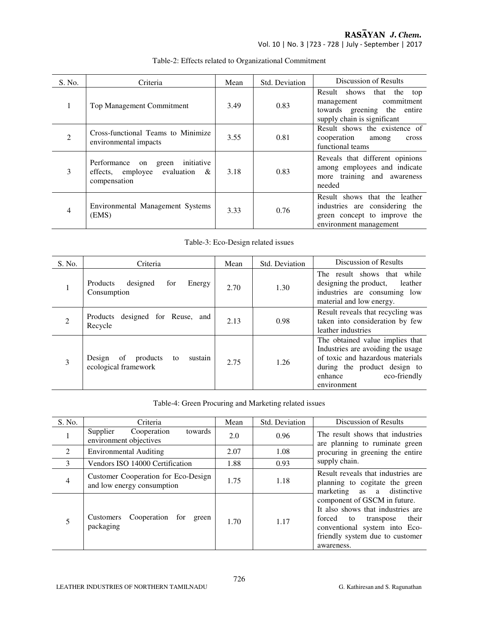RASĀYAN J. Chem.

Vol. 10 | No. 3 |723 - 728 | July - September | 2017

| S. No.         | Criteria                                                                                         | Mean | Std. Deviation | Discussion of Results                                                                                                     |
|----------------|--------------------------------------------------------------------------------------------------|------|----------------|---------------------------------------------------------------------------------------------------------------------------|
| $\mathbf{1}$   | Top Management Commitment                                                                        | 3.49 | 0.83           | Result shows<br>that the top<br>commitment<br>management<br>towards greening the entire<br>supply chain is significant    |
| $\overline{2}$ | Cross-functional Teams to Minimize<br>environmental impacts                                      | 3.55 | 0.81           | Result shows the existence of<br>cooperation<br>among<br>cross<br>functional teams                                        |
| 3              | initiative<br>Performance<br>green<br>on<br>effects, employee<br>evaluation $\&$<br>compensation | 3.18 | 0.83           | Reveals that different opinions<br>among employees and indicate<br>more training and awareness<br>needed                  |
| $\overline{4}$ | Environmental Management Systems<br>(EMS)                                                        | 3.33 | 0.76           | Result shows that the leather<br>industries are considering the<br>green concept to improve the<br>environment management |

# Table-2: Effects related to Organizational Commitment

Table-3: Eco-Design related issues

| S. No.         | Criteria                                                          | Mean | Std. Deviation | Discussion of Results                                                                                                                                                              |
|----------------|-------------------------------------------------------------------|------|----------------|------------------------------------------------------------------------------------------------------------------------------------------------------------------------------------|
|                | Products<br>designed<br>Energy<br>for<br>Consumption              | 2.70 | 1.30           | The result shows that<br>while<br>designing the product,<br>leather<br>industries are consuming low<br>material and low energy.                                                    |
| $\overline{2}$ | designed for Reuse, and<br>Products<br>Recycle                    | 2.13 | 0.98           | Result reveals that recycling was<br>taken into consideration by few<br>leather industries                                                                                         |
| 3              | sustain<br>products<br>of<br>Design<br>to<br>ecological framework | 2.75 | 1.26           | The obtained value implies that<br>Industries are avoiding the usage<br>of toxic and hazardous materials<br>during the product design to<br>eco-friendly<br>enhance<br>environment |

Table-4: Green Procuring and Marketing related issues

| S. No.         | Criteria                                                          | Mean | Std. Deviation | Discussion of Results                                                                                                                                                                                                                                                                         |
|----------------|-------------------------------------------------------------------|------|----------------|-----------------------------------------------------------------------------------------------------------------------------------------------------------------------------------------------------------------------------------------------------------------------------------------------|
| $\mathbf{1}$   | Supplier<br>Cooperation<br>towards<br>environment objectives      | 2.0  | 0.96           | The result shows that industries<br>are planning to ruminate green                                                                                                                                                                                                                            |
| 2              | <b>Environmental Auditing</b>                                     | 2.07 | 1.08           | procuring in greening the entire                                                                                                                                                                                                                                                              |
| 3              | Vendors ISO 14000 Certification                                   | 1.88 | 0.93           | supply chain.                                                                                                                                                                                                                                                                                 |
| $\overline{4}$ | Customer Cooperation for Eco-Design<br>and low energy consumption | 1.75 | 1.18           | Result reveals that industries are.<br>planning to cogitate the green<br>marketing as a distinctive<br>component of GSCM in future.<br>It also shows that industries are<br>their<br>forced to<br>transpose<br>conventional system into Eco-<br>friendly system due to customer<br>awareness. |
| 5              | Cooperation for green<br>Customers<br>packaging                   | 1.70 | 1.17           |                                                                                                                                                                                                                                                                                               |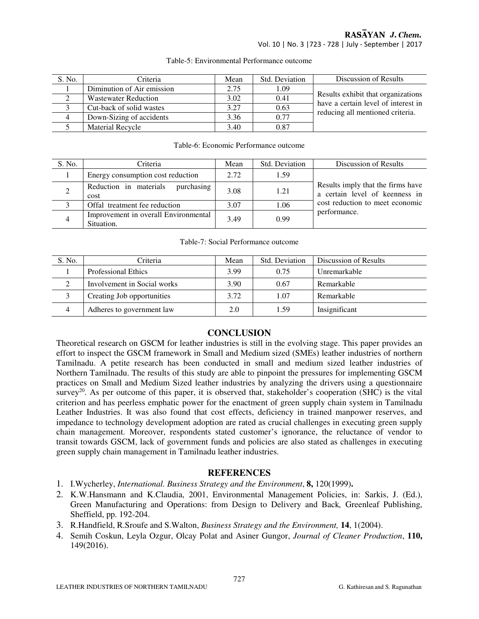# RASAYAN J. Chem.

Vol. 10 | No. 3 |723 - 728 | July - September | 2017

| S. No. | Criteria                    | Mean | Std. Deviation | Discussion of Results                                                     |
|--------|-----------------------------|------|----------------|---------------------------------------------------------------------------|
|        | Diminution of Air emission  | 2.75 | 1.09           |                                                                           |
|        | <b>Wastewater Reduction</b> | 3.02 | 0.41           | Results exhibit that organizations<br>have a certain level of interest in |
|        | Cut-back of solid wastes    | 3.27 | 0.63           | reducing all mentioned criteria.                                          |
| 4      | Down-Sizing of accidents    | 3.36 | 0.77           |                                                                           |
|        | <b>Material Recycle</b>     | 3.40 | 0.87           |                                                                           |

#### Table-5: Environmental Performance outcome

#### Table-6: Economic Performance outcome

| S. No.        | Criteria                                           | Mean | Std. Deviation | Discussion of Results                                                                                                  |
|---------------|----------------------------------------------------|------|----------------|------------------------------------------------------------------------------------------------------------------------|
|               | Energy consumption cost reduction                  | 2.72 | 1.59           |                                                                                                                        |
| $\mathcal{D}$ | purchasing<br>Reduction in materials<br>cost       | 3.08 | 1.21           | Results imply that the firms have<br>a certain level of keenness in<br>cost reduction to meet economic<br>performance. |
|               | Offal treatment fee reduction                      | 3.07 | 1.06           |                                                                                                                        |
|               | Improvement in overall Environmental<br>Situation. | 3.49 | 0.99           |                                                                                                                        |

#### Table-7: Social Performance outcome

| S. No. | Criteria                    | Mean | Std. Deviation | Discussion of Results |
|--------|-----------------------------|------|----------------|-----------------------|
|        | <b>Professional Ethics</b>  | 3.99 | 0.75           | Unremarkable          |
|        | Involvement in Social works | 3.90 | 0.67           | Remarkable            |
|        | Creating Job opportunities  | 3.72 | 1.07           | Remarkable            |
| 4      | Adheres to government law   | 2.0  | 1.59           | Insignificant         |

# **CONCLUSION**

Theoretical research on GSCM for leather industries is still in the evolving stage. This paper provides an effort to inspect the GSCM framework in Small and Medium sized (SMEs) leather industries of northern Tamilnadu. A petite research has been conducted in small and medium sized leather industries of Northern Tamilnadu. The results of this study are able to pinpoint the pressures for implementing GSCM practices on Small and Medium Sized leather industries by analyzing the drivers using a questionnaire survey<sup>20</sup>. As per outcome of this paper, it is observed that, stakeholder's cooperation (SHC) is the vital criterion and has peerless emphatic power for the enactment of green supply chain system in Tamilnadu Leather Industries. It was also found that cost effects, deficiency in trained manpower reserves, and impedance to technology development adoption are rated as crucial challenges in executing green supply chain management. Moreover, respondents stated customer's ignorance, the reluctance of vendor to transit towards GSCM, lack of government funds and policies are also stated as challenges in executing green supply chain management in Tamilnadu leather industries.

## **REFERENCES**

- 1. I.Wycherley, *International. Business Strategy and the Environment*, **8,** 120(1999)**.**
- 2. K.W.Hansmann and K.Claudia, 2001, Environmental Management Policies, in: Sarkis, J. (Ed.), Green Manufacturing and Operations: from Design to Delivery and Back*,* Greenleaf Publishing, Sheffield, pp. 192-204.
- 3. R.Handfield, R.Sroufe and S.Walton, *Business Strategy and the Environment,* **14**, 1(2004).
- 4. Semih Coskun, Leyla Ozgur, Olcay Polat and Asiner Gungor, *Journal of Cleaner Production*, **110,** 149(2016).